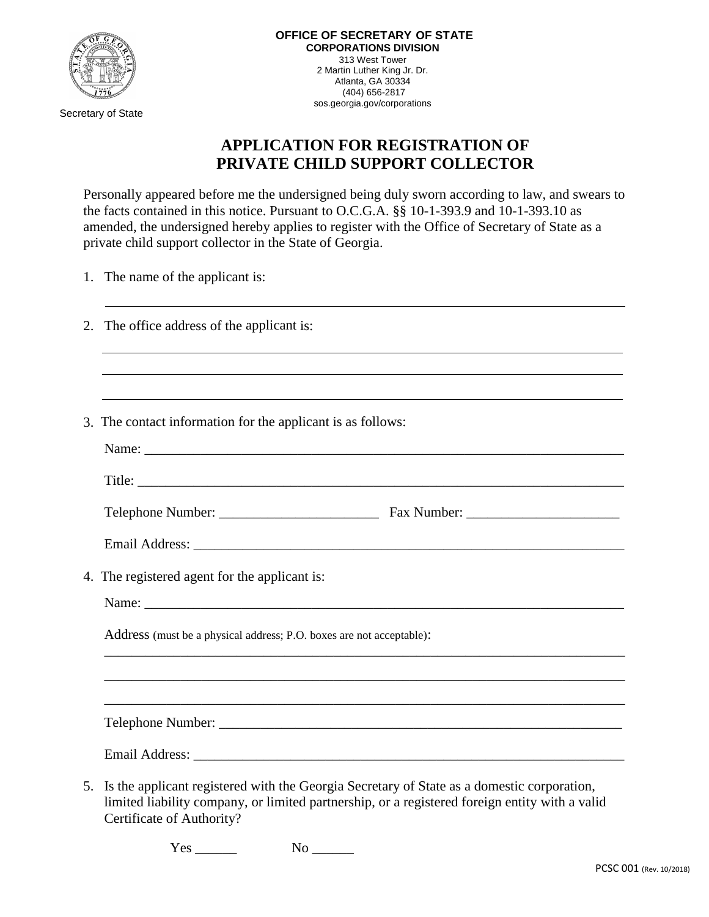

Secretary of State

## **APPLICATION FOR REGISTRATION OF PRIVATE CHILD SUPPORT COLLECTOR**

Personally appeared before me the undersigned being duly sworn according to law, and swears to the facts contained in this notice. Pursuant to O.C.G.A. §§ 10-1-393.9 and 10-1-393.10 as amended, the undersigned hereby applies to register with the Office of Secretary of State as a private child support collector in the State of Georgia.

1. The name of the applicant is:

|    | 2. The office address of the applicant is:                                                                                                                                                   |  |
|----|----------------------------------------------------------------------------------------------------------------------------------------------------------------------------------------------|--|
|    | 3. The contact information for the applicant is as follows:                                                                                                                                  |  |
|    |                                                                                                                                                                                              |  |
|    |                                                                                                                                                                                              |  |
|    | 4. The registered agent for the applicant is:                                                                                                                                                |  |
|    |                                                                                                                                                                                              |  |
|    | Address (must be a physical address; P.O. boxes are not acceptable):                                                                                                                         |  |
|    |                                                                                                                                                                                              |  |
|    |                                                                                                                                                                                              |  |
|    |                                                                                                                                                                                              |  |
| 5. | Is the applicant registered with the Georgia Secretary of State as a domestic corporation,<br>limited liability company, or limited partnership, or a registered foreign entity with a valid |  |

Certificate of Authority?

Yes No  $\overline{N}$